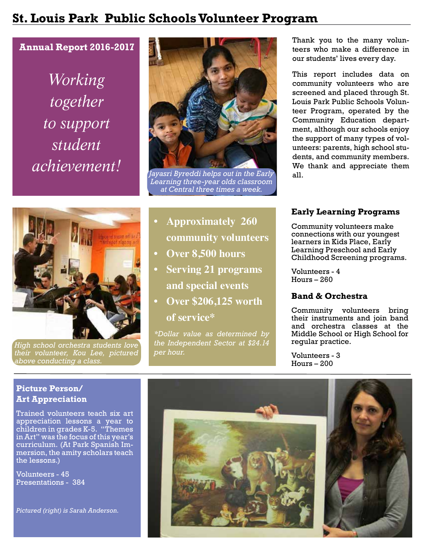## **St. Louis Park Public Schools Volunteer Program**

## **Annual Report 2016-2017**

*Working together to support student achievement!*



*High school orchestra students love their volunteer, Kou Lee, pictured above conducting a class.*



*Jayasri Byreddi helps out in the Early Learning three-year olds classroom at Central three times a week.* 

- **• Approximately 260 community volunteers**
- **• Over 8,500 hours**
- **• Serving 21 programs and special events**
- **• Over \$206,125 worth of service\***

*\*Dollar value as determined by the Independent Sector at \$24.14 per hour.*

Thank you to the many volunteers who make a difference in our students' lives every day.

This report includes data on community volunteers who are screened and placed through St. Louis Park Public Schools Volunteer Program, operated by the Community Education department, although our schools enjoy the support of many types of volunteers: parents, high school students, and community members. We thank and appreciate them all.

## **Early Learning Programs**

Community volunteers make connections with our youngest learners in Kids Place, Early Learning Preschool and Early Childhood Screening programs.

Volunteers - 4 Hours – 260

### **Band & Orchestra**

Community volunteers bring their instruments and join band and orchestra classes at the Middle School or High School for regular practice.

Volunteers - 3 Hours – 200

## **Picture Person/ Art Appreciation**

Trained volunteers teach six art appreciation lessons a year to children in grades K-5. "Themes in Art" was the focus of this year's curriculum. (At Park Spanish Immersion, the amity scholars teach the lessons.)

Volunteers - 45 Presentations - 384

*Pictured (right) is Sarah Anderson.*

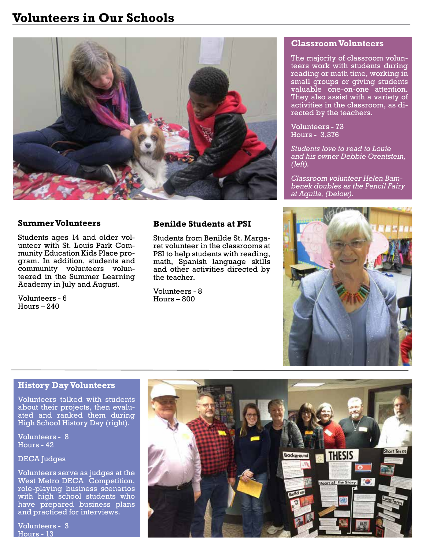# **Volunteers in Our Schools**



#### **Summer Volunteers**

Students ages 14 and older volunteer with St. Louis Park Community Education Kids Place program. In addition, students and community volunteers volunteered in the Summer Learning Academy in July and August.

Volunteers - 6 Hours – 240

## **Benilde Students at PSI**

Students from Benilde St. Margaret volunteer in the classrooms at PSI to help students with reading, math, Spanish language skills and other activities directed by the teacher.

Volunteers - 8 Hours – 800

#### **Classroom Volunteers**

The majority of classroom volunteers work with students during reading or math time, working in small groups or giving students valuable one-on-one attention. They also assist with a variety of activities in the classroom, as directed by the teachers.

Volunteers - 73 Hours - 3,376

*Students love to read to Louie and his owner Debbie Orentstein, (left).*

*Classroom volunteer Helen Bambenek doubles as the Pencil Fairy at Aquila, (below).*



### **History Day Volunteers**

Volunteers talked with students about their projects, then evaluated and ranked them during High School History Day (right).

Volunteers - 8 Hours - 42

DECA Judges

Volunteers serve as judges at the West Metro DECA Competition, role-playing business scenarios with high school students who have prepared business plans and practiced for interviews.

Volunteers - 3 Hours - 13

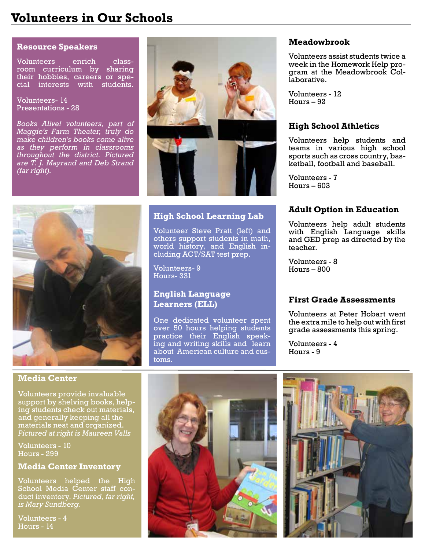# **Volunteers in Our Schools**

#### **Resource Speakers**

Volunteers enrich classroom curriculum by sharing their hobbies, careers or special interests with students.

Volunteers- 14 Presentations - 28

*Books Alive! volunteers, part of Maggie's Farm Theater, truly do make children's books come alive as they perform in classrooms throughout the district. Pictured are T. J. Mayrand and Deb Strand (far right).*



## **High School Learning Lab**

Volunteer Steve Pratt (left) and others support students in math, world history, and English including ACT/SAT test prep.

Volunteers- 9 Hours- 331

## **English Language Learners (ELL)**

One dedicated volunteer spent over 50 hours helping students practice their English speaking and writing skills and learn about American culture and customs.

#### **Meadowbrook**

Volunteers assist students twice a week in the Homework Help program at the Meadowbrook Collaborative.

Volunteers - 12 Hours – 92

### **High School Athletics**

Volunteers help students and teams in various high school sports such as cross country, basketball, football and baseball.

Volunteers - 7  $Hours - 603$ 

#### **Adult Option in Education**

Volunteers help adult students with English Language skills and GED prep as directed by the teacher.

Volunteers - 8 Hours – 800

### **First Grade Assessments**

Volunteers at Peter Hobart went the extra mile to help out with first grade assessments this spring.

Volunteers - 4 Hours - 9

### **Media Center**

Volunteers provide invaluable support by shelving books, helping students check out materials, and generally keeping all the materials neat and organized. *Pictured at right is Maureen Valls*

Volunteers - 10 Hours - 299

#### **Media Center Inventory**

Volunteers helped the High School Media Center staff conduct inventory. *Pictured, far right, is Mary Sundberg.*

Volunteers - 4 Hours - 14